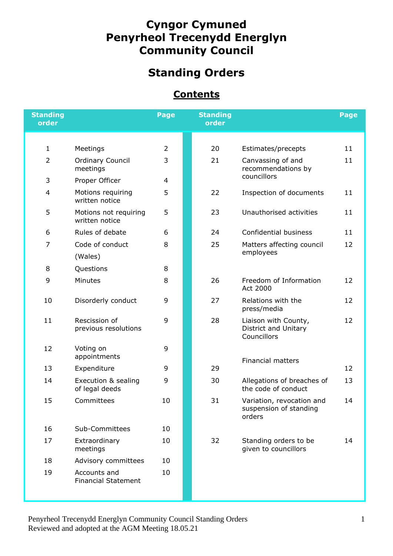## **Cyngor Cymuned Penyrheol Trecenydd Energlyn Community Council**

# **Standing Orders**

#### **Contents**

| <b>Standing</b><br>order |                                            | Page           | <b>Standing</b><br>order |                                                               | Page |
|--------------------------|--------------------------------------------|----------------|--------------------------|---------------------------------------------------------------|------|
|                          |                                            |                |                          |                                                               |      |
| $\mathbf{1}$             | Meetings                                   | $\overline{2}$ | 20                       | Estimates/precepts                                            | 11   |
| $\overline{2}$           | <b>Ordinary Council</b><br>meetings        | 3              | 21                       | Canvassing of and<br>recommendations by                       | 11   |
| 3                        | Proper Officer                             | 4              |                          | councillors                                                   |      |
| $\overline{4}$           | Motions requiring<br>written notice        | 5              | 22                       | Inspection of documents                                       | 11   |
| 5                        | Motions not requiring<br>written notice    | 5              | 23                       | Unauthorised activities                                       | 11   |
| 6                        | Rules of debate                            | 6              | 24                       | Confidential business                                         | 11   |
| 7                        | Code of conduct                            | 8              | 25                       | Matters affecting council                                     | 12   |
|                          | (Wales)                                    |                |                          | employees                                                     |      |
| 8                        | Questions                                  | 8              |                          |                                                               |      |
| 9                        | Minutes                                    | 8              | 26                       | Freedom of Information<br>Act 2000                            | 12   |
| 10                       | Disorderly conduct                         | 9              | 27                       | Relations with the<br>press/media                             | 12   |
| 11                       | Rescission of<br>previous resolutions      | 9              | 28                       | Liaison with County,<br>District and Unitary<br>Councillors   | 12   |
| 12                       | Voting on<br>appointments                  | 9              |                          | <b>Financial matters</b>                                      |      |
| 13                       | Expenditure                                | 9              | 29                       |                                                               | 12   |
| 14                       | Execution & sealing<br>of legal deeds      | 9              | 30                       | Allegations of breaches of<br>the code of conduct             | 13   |
| 15                       | Committees                                 | 10             | 31                       | Variation, revocation and<br>suspension of standing<br>orders | 14   |
| 16                       | Sub-Committees                             | 10             |                          |                                                               |      |
| 17                       | Extraordinary<br>meetings                  | 10             | 32                       | Standing orders to be<br>given to councillors                 | 14   |
| 18                       | Advisory committees                        | 10             |                          |                                                               |      |
| 19                       | Accounts and<br><b>Financial Statement</b> | 10             |                          |                                                               |      |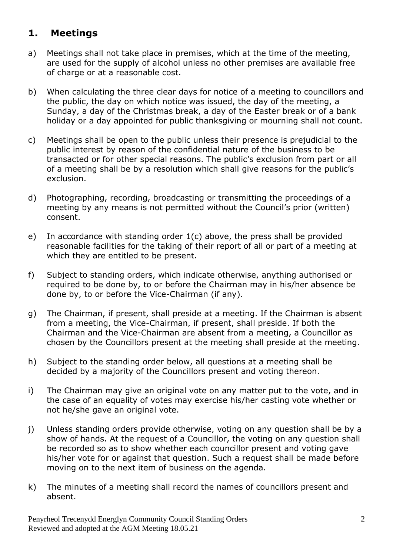### **1. Meetings**

- a) Meetings shall not take place in premises, which at the time of the meeting, are used for the supply of alcohol unless no other premises are available free of charge or at a reasonable cost.
- b) When calculating the three clear days for notice of a meeting to councillors and the public, the day on which notice was issued, the day of the meeting, a Sunday, a day of the Christmas break, a day of the Easter break or of a bank holiday or a day appointed for public thanksgiving or mourning shall not count.
- c) Meetings shall be open to the public unless their presence is prejudicial to the public interest by reason of the confidential nature of the business to be transacted or for other special reasons. The public's exclusion from part or all of a meeting shall be by a resolution which shall give reasons for the public's exclusion.
- d) Photographing, recording, broadcasting or transmitting the proceedings of a meeting by any means is not permitted without the Council's prior (written) consent.
- e) In accordance with standing order 1(c) above, the press shall be provided reasonable facilities for the taking of their report of all or part of a meeting at which they are entitled to be present.
- f) Subject to standing orders, which indicate otherwise, anything authorised or required to be done by, to or before the Chairman may in his/her absence be done by, to or before the Vice-Chairman (if any).
- g) The Chairman, if present, shall preside at a meeting. If the Chairman is absent from a meeting, the Vice-Chairman, if present, shall preside. If both the Chairman and the Vice-Chairman are absent from a meeting, a Councillor as chosen by the Councillors present at the meeting shall preside at the meeting.
- h) Subject to the standing order below, all questions at a meeting shall be decided by a majority of the Councillors present and voting thereon.
- i) The Chairman may give an original vote on any matter put to the vote, and in the case of an equality of votes may exercise his/her casting vote whether or not he/she gave an original vote.
- j) Unless standing orders provide otherwise, voting on any question shall be by a show of hands. At the request of a Councillor, the voting on any question shall be recorded so as to show whether each councillor present and voting gave his/her vote for or against that question. Such a request shall be made before moving on to the next item of business on the agenda.
- k) The minutes of a meeting shall record the names of councillors present and absent.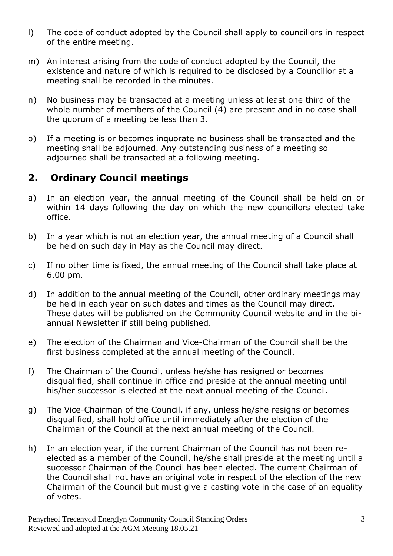- l) The code of conduct adopted by the Council shall apply to councillors in respect of the entire meeting.
- m) An interest arising from the code of conduct adopted by the Council, the existence and nature of which is required to be disclosed by a Councillor at a meeting shall be recorded in the minutes.
- n) No business may be transacted at a meeting unless at least one third of the whole number of members of the Council (4) are present and in no case shall the quorum of a meeting be less than 3.
- o) If a meeting is or becomes inquorate no business shall be transacted and the meeting shall be adjourned. Any outstanding business of a meeting so adjourned shall be transacted at a following meeting.

#### **2. Ordinary Council meetings**

- a) In an election year, the annual meeting of the Council shall be held on or within 14 days following the day on which the new councillors elected take office.
- b) In a year which is not an election year, the annual meeting of a Council shall be held on such day in May as the Council may direct.
- c) If no other time is fixed, the annual meeting of the Council shall take place at 6.00 pm.
- d) In addition to the annual meeting of the Council, other ordinary meetings may be held in each year on such dates and times as the Council may direct. These dates will be published on the Community Council website and in the biannual Newsletter if still being published.
- e) The election of the Chairman and Vice-Chairman of the Council shall be the first business completed at the annual meeting of the Council.
- f) The Chairman of the Council, unless he/she has resigned or becomes disqualified, shall continue in office and preside at the annual meeting until his/her successor is elected at the next annual meeting of the Council.
- g) The Vice-Chairman of the Council, if any, unless he/she resigns or becomes disqualified, shall hold office until immediately after the election of the Chairman of the Council at the next annual meeting of the Council.
- h) In an election year, if the current Chairman of the Council has not been reelected as a member of the Council, he/she shall preside at the meeting until a successor Chairman of the Council has been elected. The current Chairman of the Council shall not have an original vote in respect of the election of the new Chairman of the Council but must give a casting vote in the case of an equality of votes.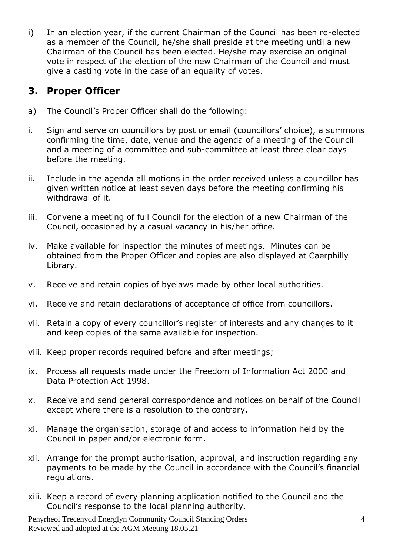i) In an election year, if the current Chairman of the Council has been re-elected as a member of the Council, he/she shall preside at the meeting until a new Chairman of the Council has been elected. He/she may exercise an original vote in respect of the election of the new Chairman of the Council and must give a casting vote in the case of an equality of votes.

#### **3. Proper Officer**

- a) The Council's Proper Officer shall do the following:
- i. Sign and serve on councillors by post or email (councillors' choice), a summons confirming the time, date, venue and the agenda of a meeting of the Council and a meeting of a committee and sub-committee at least three clear days before the meeting.
- ii. Include in the agenda all motions in the order received unless a councillor has given written notice at least seven days before the meeting confirming his withdrawal of it.
- iii. Convene a meeting of full Council for the election of a new Chairman of the Council, occasioned by a casual vacancy in his/her office.
- iv. Make available for inspection the minutes of meetings. Minutes can be obtained from the Proper Officer and copies are also displayed at Caerphilly Library.
- v. Receive and retain copies of byelaws made by other local authorities.
- vi. Receive and retain declarations of acceptance of office from councillors.
- vii. Retain a copy of every councillor's register of interests and any changes to it and keep copies of the same available for inspection.
- viii. Keep proper records required before and after meetings;
- ix. Process all requests made under the Freedom of Information Act 2000 and Data Protection Act 1998.
- x. Receive and send general correspondence and notices on behalf of the Council except where there is a resolution to the contrary.
- xi. Manage the organisation, storage of and access to information held by the Council in paper and/or electronic form.
- xii. Arrange for the prompt authorisation, approval, and instruction regarding any payments to be made by the Council in accordance with the Council's financial regulations.
- xiii. Keep a record of every planning application notified to the Council and the Council's response to the local planning authority.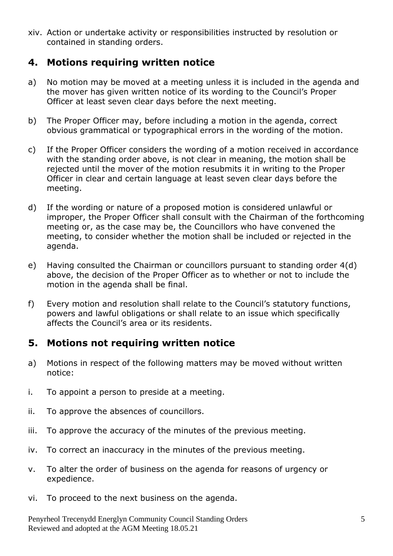xiv. Action or undertake activity or responsibilities instructed by resolution or contained in standing orders.

#### **4. Motions requiring written notice**

- a) No motion may be moved at a meeting unless it is included in the agenda and the mover has given written notice of its wording to the Council's Proper Officer at least seven clear days before the next meeting.
- b) The Proper Officer may, before including a motion in the agenda, correct obvious grammatical or typographical errors in the wording of the motion.
- c) If the Proper Officer considers the wording of a motion received in accordance with the standing order above, is not clear in meaning, the motion shall be rejected until the mover of the motion resubmits it in writing to the Proper Officer in clear and certain language at least seven clear days before the meeting.
- d) If the wording or nature of a proposed motion is considered unlawful or improper, the Proper Officer shall consult with the Chairman of the forthcoming meeting or, as the case may be, the Councillors who have convened the meeting, to consider whether the motion shall be included or rejected in the agenda.
- e) Having consulted the Chairman or councillors pursuant to standing order 4(d) above, the decision of the Proper Officer as to whether or not to include the motion in the agenda shall be final.
- f) Every motion and resolution shall relate to the Council's statutory functions, powers and lawful obligations or shall relate to an issue which specifically affects the Council's area or its residents.

#### **5. Motions not requiring written notice**

- a) Motions in respect of the following matters may be moved without written notice:
- i. To appoint a person to preside at a meeting.
- ii. To approve the absences of councillors.
- iii. To approve the accuracy of the minutes of the previous meeting.
- iv. To correct an inaccuracy in the minutes of the previous meeting.
- v. To alter the order of business on the agenda for reasons of urgency or expedience.
- vi. To proceed to the next business on the agenda.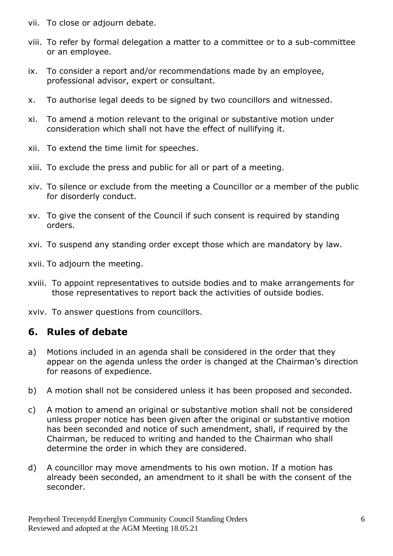- vii. To close or adjourn debate.
- viii. To refer by formal delegation a matter to a committee or to a sub-committee or an employee.
- ix. To consider a report and/or recommendations made by an employee, professional advisor, expert or consultant.
- x. To authorise legal deeds to be signed by two councillors and witnessed.
- xi. To amend a motion relevant to the original or substantive motion under consideration which shall not have the effect of nullifying it.
- xii. To extend the time limit for speeches.
- xiii. To exclude the press and public for all or part of a meeting.
- xiv. To silence or exclude from the meeting a Councillor or a member of the public for disorderly conduct.
- xv. To give the consent of the Council if such consent is required by standing orders.
- xvi. To suspend any standing order except those which are mandatory by law.
- xvii. To adjourn the meeting.
- xviii. To appoint representatives to outside bodies and to make arrangements for those representatives to report back the activities of outside bodies.
- xviv. To answer questions from councillors.

### **6. Rules of debate**

- a) Motions included in an agenda shall be considered in the order that they appear on the agenda unless the order is changed at the Chairman's direction for reasons of expedience.
- b) A motion shall not be considered unless it has been proposed and seconded.
- c) A motion to amend an original or substantive motion shall not be considered unless proper notice has been given after the original or substantive motion has been seconded and notice of such amendment, shall, if required by the Chairman, be reduced to writing and handed to the Chairman who shall determine the order in which they are considered.
- d) A councillor may move amendments to his own motion. If a motion has already been seconded, an amendment to it shall be with the consent of the seconder.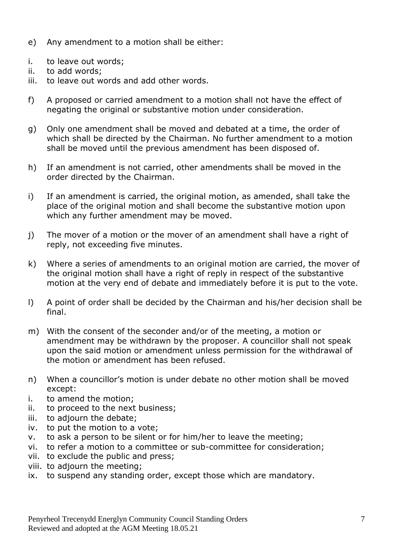- e) Any amendment to a motion shall be either:
- i. to leave out words;
- ii. to add words;
- iii. to leave out words and add other words.
- f) A proposed or carried amendment to a motion shall not have the effect of negating the original or substantive motion under consideration.
- g) Only one amendment shall be moved and debated at a time, the order of which shall be directed by the Chairman. No further amendment to a motion shall be moved until the previous amendment has been disposed of.
- h) If an amendment is not carried, other amendments shall be moved in the order directed by the Chairman.
- i) If an amendment is carried, the original motion, as amended, shall take the place of the original motion and shall become the substantive motion upon which any further amendment may be moved.
- j) The mover of a motion or the mover of an amendment shall have a right of reply, not exceeding five minutes.
- k) Where a series of amendments to an original motion are carried, the mover of the original motion shall have a right of reply in respect of the substantive motion at the very end of debate and immediately before it is put to the vote.
- l) A point of order shall be decided by the Chairman and his/her decision shall be final.
- m) With the consent of the seconder and/or of the meeting, a motion or amendment may be withdrawn by the proposer. A councillor shall not speak upon the said motion or amendment unless permission for the withdrawal of the motion or amendment has been refused.
- n) When a councillor's motion is under debate no other motion shall be moved except:
- i. to amend the motion;
- ii. to proceed to the next business;
- iii. to adjourn the debate;
- iv. to put the motion to a vote;
- v. to ask a person to be silent or for him/her to leave the meeting;
- vi. to refer a motion to a committee or sub-committee for consideration;
- vii. to exclude the public and press;
- viii. to adjourn the meeting;
- ix. to suspend any standing order, except those which are mandatory.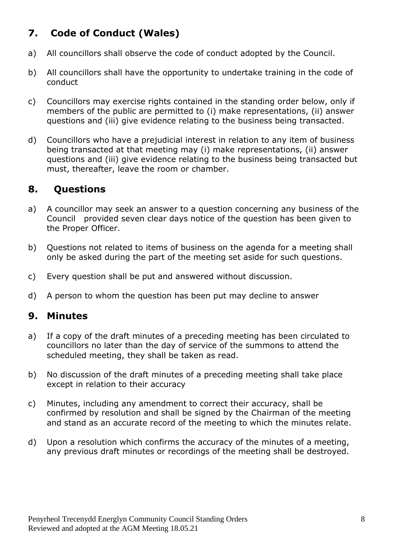## **7. Code of Conduct (Wales)**

- a) All councillors shall observe the code of conduct adopted by the Council.
- b) All councillors shall have the opportunity to undertake training in the code of conduct
- c) Councillors may exercise rights contained in the standing order below, only if members of the public are permitted to (i) make representations, (ii) answer questions and (iii) give evidence relating to the business being transacted.
- d) Councillors who have a prejudicial interest in relation to any item of business being transacted at that meeting may (i) make representations, (ii) answer questions and (iii) give evidence relating to the business being transacted but must, thereafter, leave the room or chamber.

#### **8. Questions**

- a) A councillor may seek an answer to a question concerning any business of the Council provided seven clear days notice of the question has been given to the Proper Officer.
- b) Questions not related to items of business on the agenda for a meeting shall only be asked during the part of the meeting set aside for such questions.
- c) Every question shall be put and answered without discussion.
- d) A person to whom the question has been put may decline to answer

#### **9. Minutes**

- a) If a copy of the draft minutes of a preceding meeting has been circulated to councillors no later than the day of service of the summons to attend the scheduled meeting, they shall be taken as read.
- b) No discussion of the draft minutes of a preceding meeting shall take place except in relation to their accuracy
- c) Minutes, including any amendment to correct their accuracy, shall be confirmed by resolution and shall be signed by the Chairman of the meeting and stand as an accurate record of the meeting to which the minutes relate.
- d) Upon a resolution which confirms the accuracy of the minutes of a meeting, any previous draft minutes or recordings of the meeting shall be destroyed.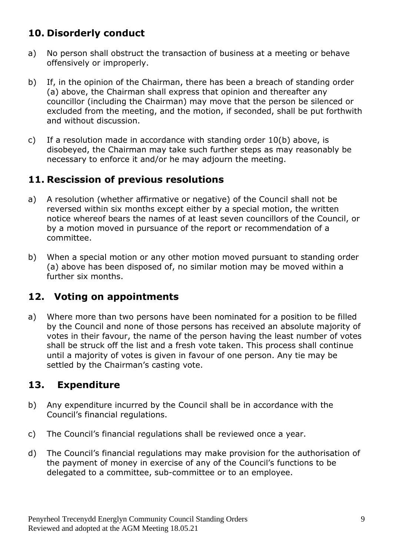## **10. Disorderly conduct**

- a) No person shall obstruct the transaction of business at a meeting or behave offensively or improperly.
- b) If, in the opinion of the Chairman, there has been a breach of standing order (a) above, the Chairman shall express that opinion and thereafter any councillor (including the Chairman) may move that the person be silenced or excluded from the meeting, and the motion, if seconded, shall be put forthwith and without discussion.
- c) If a resolution made in accordance with standing order 10(b) above, is disobeyed, the Chairman may take such further steps as may reasonably be necessary to enforce it and/or he may adjourn the meeting.

### **11. Rescission of previous resolutions**

- a) A resolution (whether affirmative or negative) of the Council shall not be reversed within six months except either by a special motion, the written notice whereof bears the names of at least seven councillors of the Council, or by a motion moved in pursuance of the report or recommendation of a committee.
- b) When a special motion or any other motion moved pursuant to standing order (a) above has been disposed of, no similar motion may be moved within a further six months.

### **12. Voting on appointments**

a) Where more than two persons have been nominated for a position to be filled by the Council and none of those persons has received an absolute majority of votes in their favour, the name of the person having the least number of votes shall be struck off the list and a fresh vote taken. This process shall continue until a majority of votes is given in favour of one person. Any tie may be settled by the Chairman's casting vote.

### **13. Expenditure**

- b) Any expenditure incurred by the Council shall be in accordance with the Council's financial regulations.
- c) The Council's financial regulations shall be reviewed once a year.
- d) The Council's financial regulations may make provision for the authorisation of the payment of money in exercise of any of the Council's functions to be delegated to a committee, sub-committee or to an employee.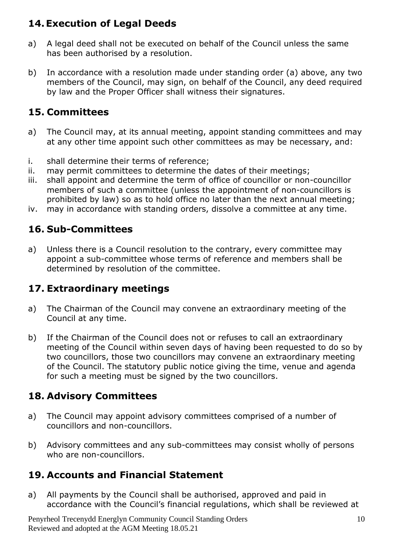## **14.Execution of Legal Deeds**

- a) A legal deed shall not be executed on behalf of the Council unless the same has been authorised by a resolution.
- b) In accordance with a resolution made under standing order (a) above, any two members of the Council, may sign, on behalf of the Council, any deed required by law and the Proper Officer shall witness their signatures.

## **15. Committees**

- a) The Council may, at its annual meeting, appoint standing committees and may at any other time appoint such other committees as may be necessary, and:
- i. shall determine their terms of reference;
- ii. may permit committees to determine the dates of their meetings;
- iii. shall appoint and determine the term of office of councillor or non-councillor members of such a committee (unless the appointment of non-councillors is prohibited by law) so as to hold office no later than the next annual meeting;
- iv. may in accordance with standing orders, dissolve a committee at any time.

### **16. Sub-Committees**

a) Unless there is a Council resolution to the contrary, every committee may appoint a sub-committee whose terms of reference and members shall be determined by resolution of the committee.

### **17. Extraordinary meetings**

- a) The Chairman of the Council may convene an extraordinary meeting of the Council at any time.
- b) If the Chairman of the Council does not or refuses to call an extraordinary meeting of the Council within seven days of having been requested to do so by two councillors, those two councillors may convene an extraordinary meeting of the Council. The statutory public notice giving the time, venue and agenda for such a meeting must be signed by the two councillors.

## **18. Advisory Committees**

- a) The Council may appoint advisory committees comprised of a number of councillors and non-councillors.
- b) Advisory committees and any sub-committees may consist wholly of persons who are non-councillors.

### **19. Accounts and Financial Statement**

a) All payments by the Council shall be authorised, approved and paid in accordance with the Council's financial regulations, which shall be reviewed at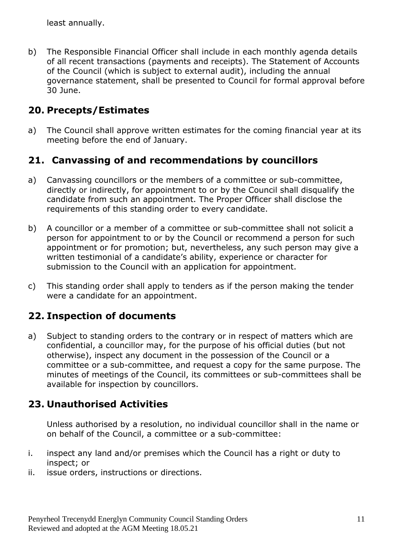least annually.

b) The Responsible Financial Officer shall include in each monthly agenda details of all recent transactions (payments and receipts). The Statement of Accounts of the Council (which is subject to external audit), including the annual governance statement, shall be presented to Council for formal approval before 30 June.

#### **20. Precepts/Estimates**

a) The Council shall approve written estimates for the coming financial year at its meeting before the end of January.

### **21. Canvassing of and recommendations by councillors**

- a) Canvassing councillors or the members of a committee or sub-committee, directly or indirectly, for appointment to or by the Council shall disqualify the candidate from such an appointment. The Proper Officer shall disclose the requirements of this standing order to every candidate.
- b) A councillor or a member of a committee or sub-committee shall not solicit a person for appointment to or by the Council or recommend a person for such appointment or for promotion; but, nevertheless, any such person may give a written testimonial of a candidate's ability, experience or character for submission to the Council with an application for appointment.
- c) This standing order shall apply to tenders as if the person making the tender were a candidate for an appointment.

### **22. Inspection of documents**

a) Subject to standing orders to the contrary or in respect of matters which are confidential, a councillor may, for the purpose of his official duties (but not otherwise), inspect any document in the possession of the Council or a committee or a sub-committee, and request a copy for the same purpose. The minutes of meetings of the Council, its committees or sub-committees shall be available for inspection by councillors.

### **23. Unauthorised Activities**

Unless authorised by a resolution, no individual councillor shall in the name or on behalf of the Council, a committee or a sub-committee:

- i. inspect any land and/or premises which the Council has a right or duty to inspect; or
- ii. issue orders, instructions or directions.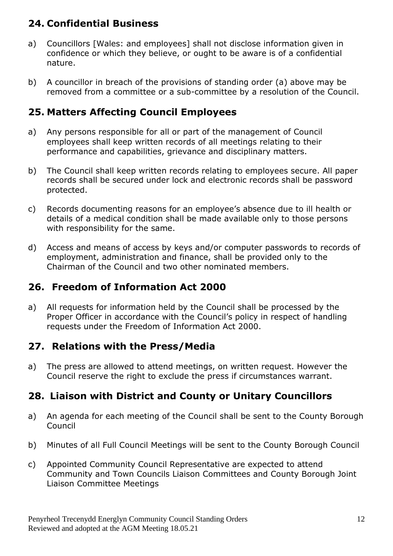## **24. Confidential Business**

- a) Councillors [Wales: and employees] shall not disclose information given in confidence or which they believe, or ought to be aware is of a confidential nature.
- b) A councillor in breach of the provisions of standing order (a) above may be removed from a committee or a sub-committee by a resolution of the Council.

### **25. Matters Affecting Council Employees**

- a) Any persons responsible for all or part of the management of Council employees shall keep written records of all meetings relating to their performance and capabilities, grievance and disciplinary matters.
- b) The Council shall keep written records relating to employees secure. All paper records shall be secured under lock and electronic records shall be password protected.
- c) Records documenting reasons for an employee's absence due to ill health or details of a medical condition shall be made available only to those persons with responsibility for the same.
- d) Access and means of access by keys and/or computer passwords to records of employment, administration and finance, shall be provided only to the Chairman of the Council and two other nominated members.

## **26. Freedom of Information Act 2000**

a) All requests for information held by the Council shall be processed by the Proper Officer in accordance with the Council's policy in respect of handling requests under the Freedom of Information Act 2000.

### **27. Relations with the Press/Media**

a) The press are allowed to attend meetings, on written request. However the Council reserve the right to exclude the press if circumstances warrant.

### **28. Liaison with District and County or Unitary Councillors**

- a) An agenda for each meeting of the Council shall be sent to the County Borough Council
- b) Minutes of all Full Council Meetings will be sent to the County Borough Council
- c) Appointed Community Council Representative are expected to attend Community and Town Councils Liaison Committees and County Borough Joint Liaison Committee Meetings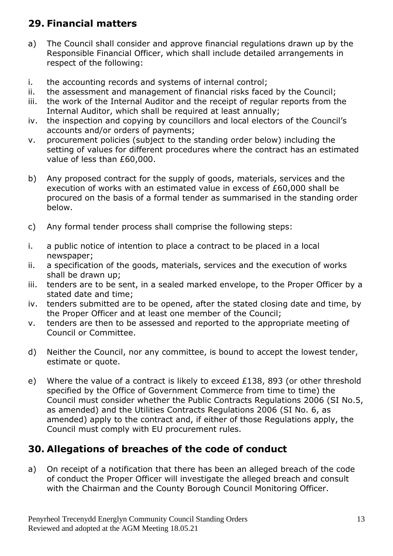## **29. Financial matters**

- a) The Council shall consider and approve financial regulations drawn up by the Responsible Financial Officer, which shall include detailed arrangements in respect of the following:
- i. the accounting records and systems of internal control;
- ii. the assessment and management of financial risks faced by the Council;
- iii. the work of the Internal Auditor and the receipt of regular reports from the Internal Auditor, which shall be required at least annually;
- iv. the inspection and copying by councillors and local electors of the Council's accounts and/or orders of payments;
- v. procurement policies (subject to the standing order below) including the setting of values for different procedures where the contract has an estimated value of less than £60,000.
- b) Any proposed contract for the supply of goods, materials, services and the execution of works with an estimated value in excess of £60,000 shall be procured on the basis of a formal tender as summarised in the standing order below.
- c) Any formal tender process shall comprise the following steps:
- i. a public notice of intention to place a contract to be placed in a local newspaper;
- ii. a specification of the goods, materials, services and the execution of works shall be drawn up;
- iii. tenders are to be sent, in a sealed marked envelope, to the Proper Officer by a stated date and time;
- iv. tenders submitted are to be opened, after the stated closing date and time, by the Proper Officer and at least one member of the Council;
- v. tenders are then to be assessed and reported to the appropriate meeting of Council or Committee.
- d) Neither the Council, nor any committee, is bound to accept the lowest tender, estimate or quote.
- e) Where the value of a contract is likely to exceed £138, 893 (or other threshold specified by the Office of Government Commerce from time to time) the Council must consider whether the Public Contracts Regulations 2006 (SI No.5, as amended) and the Utilities Contracts Regulations 2006 (SI No. 6, as amended) apply to the contract and, if either of those Regulations apply, the Council must comply with EU procurement rules.

## **30. Allegations of breaches of the code of conduct**

a) On receipt of a notification that there has been an alleged breach of the code of conduct the Proper Officer will investigate the alleged breach and consult with the Chairman and the County Borough Council Monitoring Officer.